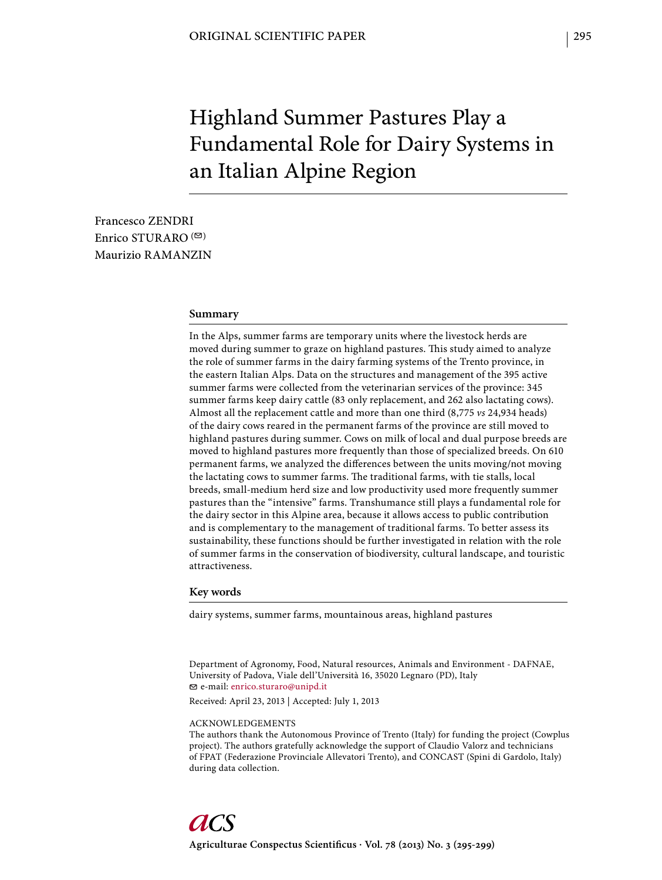# Highland Summer Pastures Play a Fundamental Role for Dairy Systems in an Italian Alpine Region

Francesco ZENDRI Enrico STURARO  $($ <sup> $\odot$ </sup>) Maurizio RAMANZIN

#### **Summary**

In the Alps, summer farms are temporary units where the livestock herds are moved during summer to graze on highland pastures. This study aimed to analyze the role of summer farms in the dairy farming systems of the Trento province, in the eastern Italian Alps. Data on the structures and management of the 395 active summer farms were collected from the veterinarian services of the province: 345 summer farms keep dairy cattle (83 only replacement, and 262 also lactating cows). Almost all the replacement cattle and more than one third (8,775 *vs* 24,934 heads) of the dairy cows reared in the permanent farms of the province are still moved to highland pastures during summer. Cows on milk of local and dual purpose breeds are moved to highland pastures more frequently than those of specialized breeds. On 610 permanent farms, we analyzed the differences between the units moving/not moving the lactating cows to summer farms. The traditional farms, with tie stalls, local breeds, small-medium herd size and low productivity used more frequently summer pastures than the "intensive" farms. Transhumance still plays a fundamental role for the dairy sector in this Alpine area, because it allows access to public contribution and is complementary to the management of traditional farms. To better assess its sustainability, these functions should be further investigated in relation with the role of summer farms in the conservation of biodiversity, cultural landscape, and touristic attractiveness.

## **Key words**

dairy systems, summer farms, mountainous areas, highland pastures

Department of Agronomy, Food, Natural resources, Animals and Environment - DAFNAE, University of Padova, Viale dell'Università 16, 35020 Legnaro (PD), Italy e-mail: enrico.sturaro@unipd.it

Received: April 23, 2013 | Accepted: July 1, 2013

#### ACKNOWLEDGEMENTS

The authors thank the Autonomous Province of Trento (Italy) for funding the project (Cowplus project). The authors gratefully acknowledge the support of Claudio Valorz and technicians of FPAT (Federazione Provinciale Allevatori Trento), and CONCAST (Spini di Gardolo, Italy) during data collection.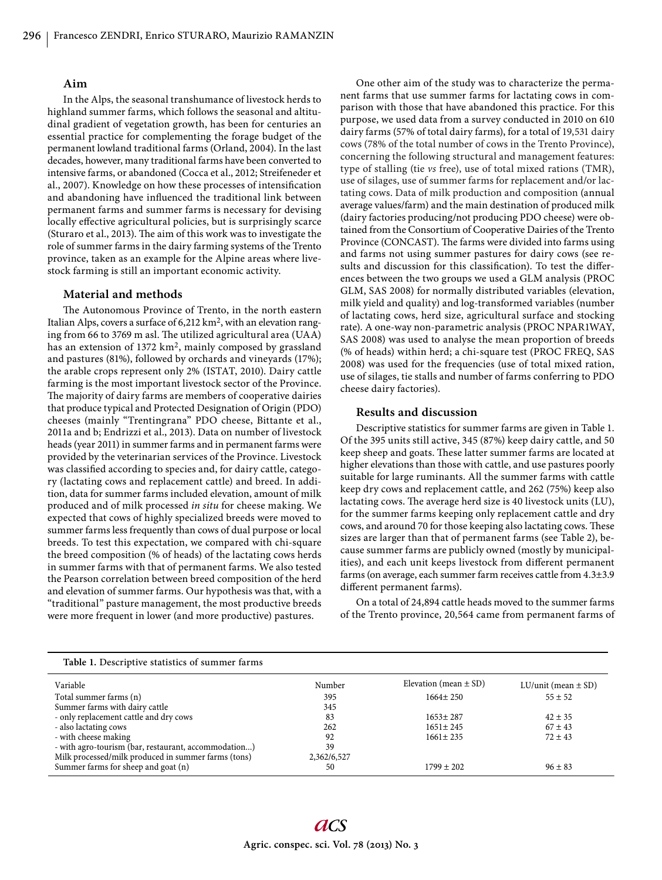## **Aim**

In the Alps, the seasonal transhumance of livestock herds to highland summer farms, which follows the seasonal and altitudinal gradient of vegetation growth, has been for centuries an essential practice for complementing the forage budget of the permanent lowland traditional farms (Orland, 2004). In the last decades, however, many traditional farms have been converted to intensive farms, or abandoned (Cocca et al., 2012; Streifeneder et al., 2007). Knowledge on how these processes of intensification and abandoning have influenced the traditional link between permanent farms and summer farms is necessary for devising locally effective agricultural policies, but is surprisingly scarce (Sturaro et al., 2013). The aim of this work was to investigate the role of summer farms in the dairy farming systems of the Trento province, taken as an example for the Alpine areas where livestock farming is still an important economic activity.

# **Material and methods**

The Autonomous Province of Trento, in the north eastern Italian Alps, covers a surface of 6,212 km2, with an elevation ranging from 66 to 3769 m asl. The utilized agricultural area (UAA) has an extension of 1372 km2, mainly composed by grassland and pastures (81%), followed by orchards and vineyards (17%); the arable crops represent only 2% (ISTAT, 2010). Dairy cattle farming is the most important livestock sector of the Province. The majority of dairy farms are members of cooperative dairies that produce typical and Protected Designation of Origin (PDO) cheeses (mainly "Trentingrana" PDO cheese, Bittante et al., 2011a and b; Endrizzi et al., 2013). Data on number of livestock heads (year 2011) in summer farms and in permanent farms were provided by the veterinarian services of the Province. Livestock was classified according to species and, for dairy cattle, category (lactating cows and replacement cattle) and breed. In addition, data for summer farms included elevation, amount of milk produced and of milk processed *in situ* for cheese making. We expected that cows of highly specialized breeds were moved to summer farms less frequently than cows of dual purpose or local breeds. To test this expectation, we compared with chi-square the breed composition (% of heads) of the lactating cows herds in summer farms with that of permanent farms. We also tested the Pearson correlation between breed composition of the herd and elevation of summer farms. Our hypothesis was that, with a "traditional" pasture management, the most productive breeds were more frequent in lower (and more productive) pastures.

One other aim of the study was to characterize the permanent farms that use summer farms for lactating cows in comparison with those that have abandoned this practice. For this purpose, we used data from a survey conducted in 2010 on 610 dairy farms (57% of total dairy farms), for a total of 19,531 dairy cows (78% of the total number of cows in the Trento Province), concerning the following structural and management features: type of stalling (tie *vs* free), use of total mixed rations (TMR), use of silages, use of summer farms for replacement and/or lactating cows. Data of milk production and composition (annual average values/farm) and the main destination of produced milk (dairy factories producing/not producing PDO cheese) were obtained from the Consortium of Cooperative Dairies of the Trento Province (CONCAST). The farms were divided into farms using and farms not using summer pastures for dairy cows (see results and discussion for this classification). To test the differences between the two groups we used a GLM analysis (PROC GLM, SAS 2008) for normally distributed variables (elevation, milk yield and quality) and log-transformed variables (number of lactating cows, herd size, agricultural surface and stocking rate). A one-way non-parametric analysis (PROC NPAR1WAY, SAS 2008) was used to analyse the mean proportion of breeds (% of heads) within herd; a chi-square test (PROC FREQ, SAS 2008) was used for the frequencies (use of total mixed ration, use of silages, tie stalls and number of farms conferring to PDO cheese dairy factories).

#### **Results and discussion**

Descriptive statistics for summer farms are given in Table 1. Of the 395 units still active, 345 (87%) keep dairy cattle, and 50 keep sheep and goats. These latter summer farms are located at higher elevations than those with cattle, and use pastures poorly suitable for large ruminants. All the summer farms with cattle keep dry cows and replacement cattle, and 262 (75%) keep also lactating cows. The average herd size is 40 livestock units (LU), for the summer farms keeping only replacement cattle and dry cows, and around 70 for those keeping also lactating cows. These sizes are larger than that of permanent farms (see Table 2), because summer farms are publicly owned (mostly by municipalities), and each unit keeps livestock from different permanent farms (on average, each summer farm receives cattle from 4.3±3.9 different permanent farms).

On a total of 24,894 cattle heads moved to the summer farms of the Trento province, 20,564 came from permanent farms of

| Table 1. Descriptive statistics of summer farms      |             |                           |                         |
|------------------------------------------------------|-------------|---------------------------|-------------------------|
| Variable                                             | Number      | Elevation (mean $\pm$ SD) | LU/unit (mean $\pm$ SD) |
| Total summer farms (n)                               | 395         | $1664 \pm 250$            | $55 \pm 52$             |
| Summer farms with dairy cattle                       | 345         |                           |                         |
| - only replacement cattle and dry cows               | 83          | $1653 \pm 287$            | $42 \pm 35$             |
| - also lactating cows                                | 262         | $1651 \pm 245$            | $67 \pm 43$             |
| - with cheese making                                 | 92          | $1661 \pm 235$            | $72 \pm 43$             |
| - with agro-tourism (bar, restaurant, accommodation) | 39          |                           |                         |
| Milk processed/milk produced in summer farms (tons)  | 2,362/6,527 |                           |                         |
| Summer farms for sheep and goat (n)                  | 50          | $1799 \pm 202$            | $96 \pm 83$             |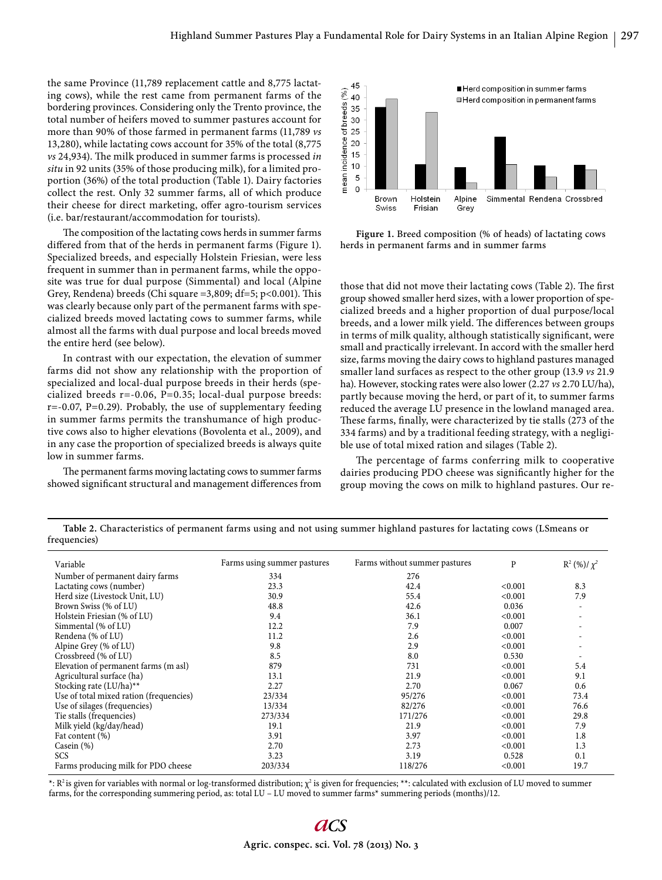the same Province (11,789 replacement cattle and 8,775 lactating cows), while the rest came from permanent farms of the bordering provinces. Considering only the Trento province, the total number of heifers moved to summer pastures account for more than 90% of those farmed in permanent farms (11,789 *vs* 13,280), while lactating cows account for 35% of the total (8,775 *vs* 24,934). The milk produced in summer farms is processed in *situ* in 92 units (35% of those producing milk), for a limited proportion (36%) of the total production (Table 1). Dairy factories collect the rest. Only 32 summer farms, all of which produce their cheese for direct marketing, offer agro-tourism services (i.e. bar/restaurant/accommodation for tourists).

The composition of the lactating cows herds in summer farms differed from that of the herds in permanent farms (Figure 1). Specialized breeds, and especially Holstein Friesian, were less frequent in summer than in permanent farms, while the opposite was true for dual purpose (Simmental) and local (Alpine Grey, Rendena) breeds (Chi square  $=3,809$ ; df=5; p<0.001). This was clearly because only part of the permanent farms with specialized breeds moved lactating cows to summer farms, while almost all the farms with dual purpose and local breeds moved the entire herd (see below).

In contrast with our expectation, the elevation of summer farms did not show any relationship with the proportion of specialized and local-dual purpose breeds in their herds (specialized breeds r=-0.06, P=0.35; local-dual purpose breeds:  $r=-0.07$ ,  $P=0.29$ ). Probably, the use of supplementary feeding in summer farms permits the transhumance of high productive cows also to higher elevations (Bovolenta et al., 2009), and in any case the proportion of specialized breeds is always quite low in summer farms.

The permanent farms moving lactating cows to summer farms showed significant structural and management differences from



**Figure 1.** Breed composition (% of heads) of lactating cows herds in permanent farms and in summer farms

those that did not move their lactating cows (Table 2). The first group showed smaller herd sizes, with a lower proportion of specialized breeds and a higher proportion of dual purpose/local breeds, and a lower milk yield. The differences between groups in terms of milk quality, although statistically significant, were small and practically irrelevant. In accord with the smaller herd size, farms moving the dairy cows to highland pastures managed smaller land surfaces as respect to the other group (13.9 *vs* 21.9 ha). However, stocking rates were also lower (2.27 *vs* 2.70 LU/ha), partly because moving the herd, or part of it, to summer farms reduced the average LU presence in the lowland managed area. These farms, finally, were characterized by tie stalls (273 of the 334 farms) and by a traditional feeding strategy, with a negligible use of total mixed ration and silages (Table 2).

The percentage of farms conferring milk to cooperative dairies producing PDO cheese was significantly higher for the group moving the cows on milk to highland pastures. Our re-

**Table 2.** Characteristics of permanent farms using and not using summer highland pastures for lactating cows (LSmeans or frequencies)

| Variable                                | Farms using summer pastures | Farms without summer pastures | P       | $R^2$ (%)/ $\chi^2$      |
|-----------------------------------------|-----------------------------|-------------------------------|---------|--------------------------|
| Number of permanent dairy farms         | 334                         | 276                           |         |                          |
| Lactating cows (number)                 | 23.3                        | 42.4                          | < 0.001 | 8.3                      |
| Herd size (Livestock Unit, LU)          | 30.9                        | 55.4                          | < 0.001 | 7.9                      |
| Brown Swiss (% of LU)                   | 48.8                        | 42.6                          | 0.036   |                          |
| Holstein Friesian (% of LU)             | 9.4                         | 36.1                          | < 0.001 | $\overline{\phantom{a}}$ |
| Simmental (% of LU)                     | 12.2                        | 7.9                           | 0.007   |                          |
| Rendena (% of LU)                       | 11.2                        | 2.6                           | < 0.001 |                          |
| Alpine Grey (% of LU)                   | 9.8                         | 2.9                           | < 0.001 |                          |
| Crossbreed (% of LU)                    | 8.5                         | 8.0                           | 0.530   |                          |
| Elevation of permanent farms (m asl)    | 879                         | 731                           | < 0.001 | 5.4                      |
| Agricultural surface (ha)               | 13.1                        | 21.9                          | < 0.001 | 9.1                      |
| Stocking rate (LU/ha)**                 | 2.27                        | 2.70                          | 0.067   | 0.6                      |
| Use of total mixed ration (frequencies) | 23/334                      | 95/276                        | < 0.001 | 73.4                     |
| Use of silages (frequencies)            | 13/334                      | 82/276                        | < 0.001 | 76.6                     |
| Tie stalls (frequencies)                | 273/334                     | 171/276                       | < 0.001 | 29.8                     |
| Milk yield (kg/day/head)                | 19.1                        | 21.9                          | < 0.001 | 7.9                      |
| Fat content (%)                         | 3.91                        | 3.97                          | < 0.001 | 1.8                      |
| Casein (%)                              | 2.70                        | 2.73                          | < 0.001 | 1.3                      |
| <b>SCS</b>                              | 3.23                        | 3.19                          | 0.528   | 0.1                      |
| Farms producing milk for PDO cheese     | 203/334                     | 118/276                       | < 0.001 | 19.7                     |

\*: R<sup>2</sup> is given for variables with normal or log-transformed distribution;  $\chi^2$  is given for frequencies; \*\*: calculated with exclusion of LU moved to summer farms, for the corresponding summering period, as: total LU – LU moved to summer farms\* summering periods (months)/12.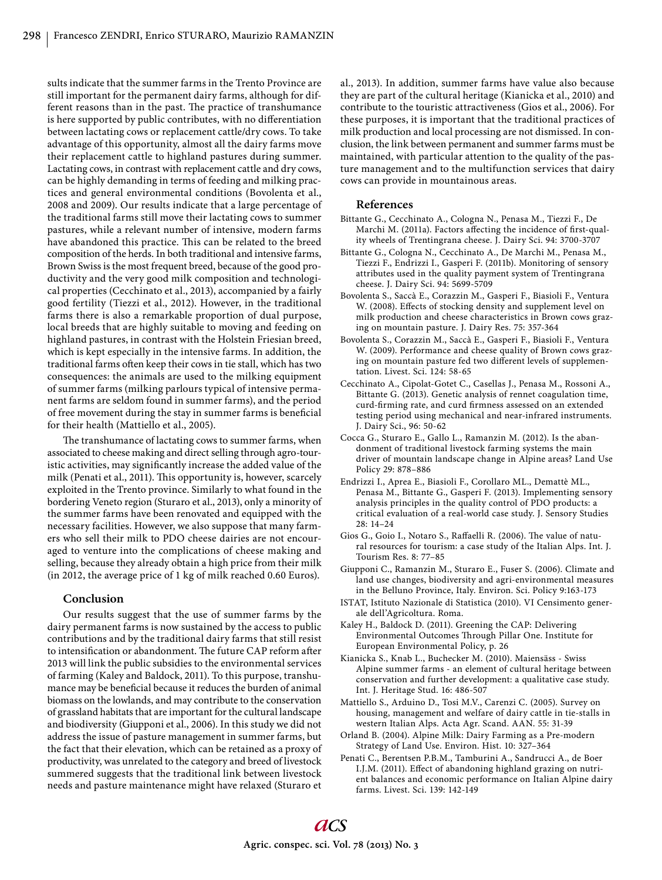sults indicate that the summer farms in the Trento Province are still important for the permanent dairy farms, although for different reasons than in the past. The practice of transhumance is here supported by public contributes, with no differentiation between lactating cows or replacement cattle/dry cows. To take advantage of this opportunity, almost all the dairy farms move their replacement cattle to highland pastures during summer. Lactating cows, in contrast with replacement cattle and dry cows, can be highly demanding in terms of feeding and milking practices and general environmental conditions (Bovolenta et al., 2008 and 2009). Our results indicate that a large percentage of the traditional farms still move their lactating cows to summer pastures, while a relevant number of intensive, modern farms have abandoned this practice. This can be related to the breed composition of the herds. In both traditional and intensive farms, Brown Swiss is the most frequent breed, because of the good productivity and the very good milk composition and technological properties (Cecchinato et al., 2013), accompanied by a fairly good fertility (Tiezzi et al., 2012). However, in the traditional farms there is also a remarkable proportion of dual purpose, local breeds that are highly suitable to moving and feeding on highland pastures, in contrast with the Holstein Friesian breed, which is kept especially in the intensive farms. In addition, the traditional farms often keep their cows in tie stall, which has two consequences: the animals are used to the milking equipment of summer farms (milking parlours typical of intensive permanent farms are seldom found in summer farms), and the period of free movement during the stay in summer farms is beneficial for their health (Mattiello et al., 2005).

The transhumance of lactating cows to summer farms, when associated to cheese making and direct selling through agro-touristic activities, may significantly increase the added value of the milk (Penati et al., 2011). This opportunity is, however, scarcely exploited in the Trento province. Similarly to what found in the bordering Veneto region (Sturaro et al., 2013), only a minority of the summer farms have been renovated and equipped with the necessary facilities. However, we also suppose that many farmers who sell their milk to PDO cheese dairies are not encouraged to venture into the complications of cheese making and selling, because they already obtain a high price from their milk (in 2012, the average price of 1 kg of milk reached 0.60 Euros).

### **Conclusion**

Our results suggest that the use of summer farms by the dairy permanent farms is now sustained by the access to public contributions and by the traditional dairy farms that still resist to intensification or abandonment. The future CAP reform after 2013 will link the public subsidies to the environmental services of farming (Kaley and Baldock, 2011). To this purpose, transhumance may be beneficial because it reduces the burden of animal biomass on the lowlands, and may contribute to the conservation of grassland habitats that are important for the cultural landscape and biodiversity (Giupponi et al., 2006). In this study we did not address the issue of pasture management in summer farms, but the fact that their elevation, which can be retained as a proxy of productivity, was unrelated to the category and breed of livestock summered suggests that the traditional link between livestock needs and pasture maintenance might have relaxed (Sturaro et al., 2013). In addition, summer farms have value also because they are part of the cultural heritage (Kianicka et al., 2010) and contribute to the touristic attractiveness (Gios et al., 2006). For these purposes, it is important that the traditional practices of milk production and local processing are not dismissed. In conclusion, the link between permanent and summer farms must be maintained, with particular attention to the quality of the pasture management and to the multifunction services that dairy cows can provide in mountainous areas.

#### **References**

- Bittante G., Cecchinato A., Cologna N., Penasa M., Tiezzi F., De Marchi M. (2011a). Factors affecting the incidence of first-quality wheels of Trentingrana cheese. J. Dairy Sci. 94: 3700-3707
- Bittante G., Cologna N., Cecchinato A., De Marchi M., Penasa M., Tiezzi F., Endrizzi I., Gasperi F. (2011b). Monitoring of sensory attributes used in the quality payment system of Trentingrana cheese. J. Dairy Sci. 94: 5699-5709
- Bovolenta S., Saccà E., Corazzin M., Gasperi F., Biasioli F., Ventura W. (2008). Effects of stocking density and supplement level on milk production and cheese characteristics in Brown cows grazing on mountain pasture. J. Dairy Res. 75: 357-364
- Bovolenta S., Corazzin M., Saccà E., Gasperi F., Biasioli F., Ventura W. (2009). Performance and cheese quality of Brown cows grazing on mountain pasture fed two different levels of supplementation. Livest. Sci. 124: 58-65
- Cecchinato A., Cipolat-Gotet C., Casellas J., Penasa M., Rossoni A., Bittante G. (2013). Genetic analysis of rennet coagulation time, curd-firming rate, and curd firmness assessed on an extended testing period using mechanical and near-infrared instruments. J. Dairy Sci., 96: 50-62
- Cocca G., Sturaro E., Gallo L., Ramanzin M. (2012). Is the abandonment of traditional livestock farming systems the main driver of mountain landscape change in Alpine areas? Land Use Policy 29: 878–886
- Endrizzi I., Aprea E., Biasioli F., Corollaro ML., Demattè ML., Penasa M., Bittante G., Gasperi F. (2013). Implementing sensory analysis principles in the quality control of PDO products: a critical evaluation of a real-world case study. J. Sensory Studies 28: 14–24
- Gios G., Goio I., Notaro S., Raffaelli R. (2006). The value of natural resources for tourism: a case study of the Italian Alps. Int. J. Tourism Res. 8: 77–85
- Giupponi C., Ramanzin M., Sturaro E., Fuser S. (2006). Climate and land use changes, biodiversity and agri-environmental measures in the Belluno Province, Italy. Environ. Sci. Policy 9:163-173
- ISTAT, Istituto Nazionale di Statistica (2010). VI Censimento generale dell'Agricoltura. Roma.
- Kaley H., Baldock D. (2011). Greening the CAP: Delivering Environmental Outcomes Through Pillar One. Institute for European Environmental Policy, p. 26
- Kianicka S., Knab L., Buchecker M. (2010). Maiensäss Swiss Alpine summer farms - an element of cultural heritage between conservation and further development: a qualitative case study. Int. J. Heritage Stud. 16: 486-507
- Mattiello S., Arduino D., Tosi M.V., Carenzi C. (2005). Survey on housing, management and welfare of dairy cattle in tie-stalls in western Italian Alps. Acta Agr. Scand. AAN. 55: 31-39
- Orland B. (2004). Alpine Milk: Dairy Farming as a Pre-modern Strategy of Land Use. Environ. Hist. 10: 327–364
- Penati C., Berentsen P.B.M., Tamburini A., Sandrucci A., de Boer I.J.M. (2011). Effect of abandoning highland grazing on nutrient balances and economic performance on Italian Alpine dairy farms. Livest. Sci. 139: 142-149